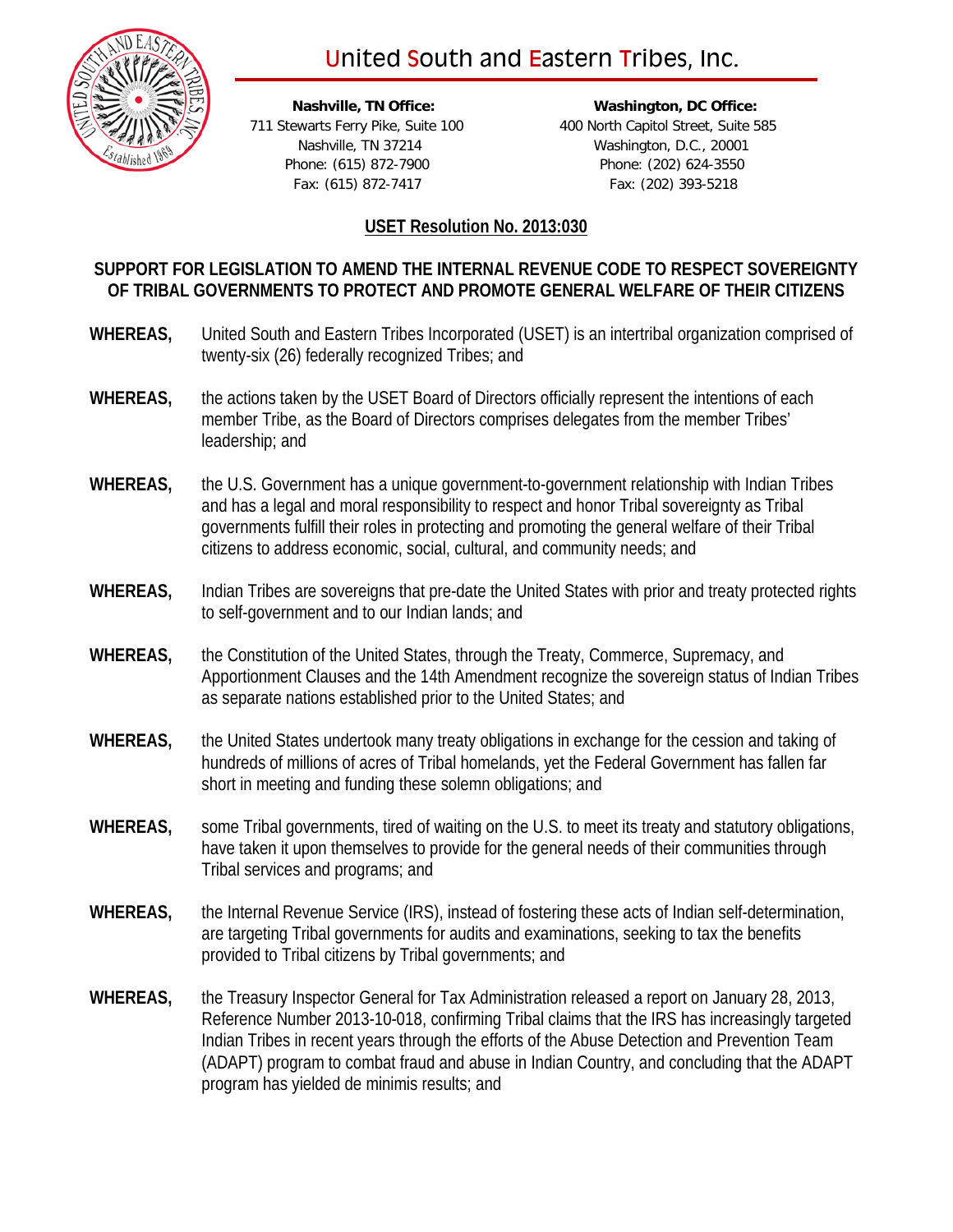# United South and Eastern Tribes, Inc.



 **Nashville, TN Office: Washington, DC Office:** 711 Stewarts Ferry Pike, Suite 100 400 North Capitol Street, Suite 585 Nashville, TN 37214 Washington, D.C., 20001 Phone: (615) 872-7900 Phone: (202) 624-3550 Fax: (615) 872-7417 Fax: (202) 393-5218

## **USET Resolution No. 2013:030**

# **SUPPORT FOR LEGISLATION TO AMEND THE INTERNAL REVENUE CODE TO RESPECT SOVEREIGNTY OF TRIBAL GOVERNMENTS TO PROTECT AND PROMOTE GENERAL WELFARE OF THEIR CITIZENS**

- **WHEREAS,** United South and Eastern Tribes Incorporated (USET) is an intertribal organization comprised of twenty-six (26) federally recognized Tribes; and
- **WHEREAS,** the actions taken by the USET Board of Directors officially represent the intentions of each member Tribe, as the Board of Directors comprises delegates from the member Tribes' leadership; and
- **WHEREAS,** the U.S. Government has a unique government-to-government relationship with Indian Tribes and has a legal and moral responsibility to respect and honor Tribal sovereignty as Tribal governments fulfill their roles in protecting and promoting the general welfare of their Tribal citizens to address economic, social, cultural, and community needs; and
- **WHEREAS,** Indian Tribes are sovereigns that pre-date the United States with prior and treaty protected rights to self-government and to our Indian lands; and
- **WHEREAS,** the Constitution of the United States, through the Treaty, Commerce, Supremacy, and Apportionment Clauses and the 14th Amendment recognize the sovereign status of Indian Tribes as separate nations established prior to the United States; and
- **WHEREAS,** the United States undertook many treaty obligations in exchange for the cession and taking of hundreds of millions of acres of Tribal homelands, yet the Federal Government has fallen far short in meeting and funding these solemn obligations; and
- **WHEREAS,** some Tribal governments, tired of waiting on the U.S. to meet its treaty and statutory obligations, have taken it upon themselves to provide for the general needs of their communities through Tribal services and programs; and
- **WHEREAS,** the Internal Revenue Service (IRS), instead of fostering these acts of Indian self-determination, are targeting Tribal governments for audits and examinations, seeking to tax the benefits provided to Tribal citizens by Tribal governments; and
- **WHEREAS,** the Treasury Inspector General for Tax Administration released a report on January 28, 2013, Reference Number 2013-10-018, confirming Tribal claims that the IRS has increasingly targeted Indian Tribes in recent years through the efforts of the Abuse Detection and Prevention Team (ADAPT) program to combat fraud and abuse in Indian Country, and concluding that the ADAPT program has yielded de minimis results; and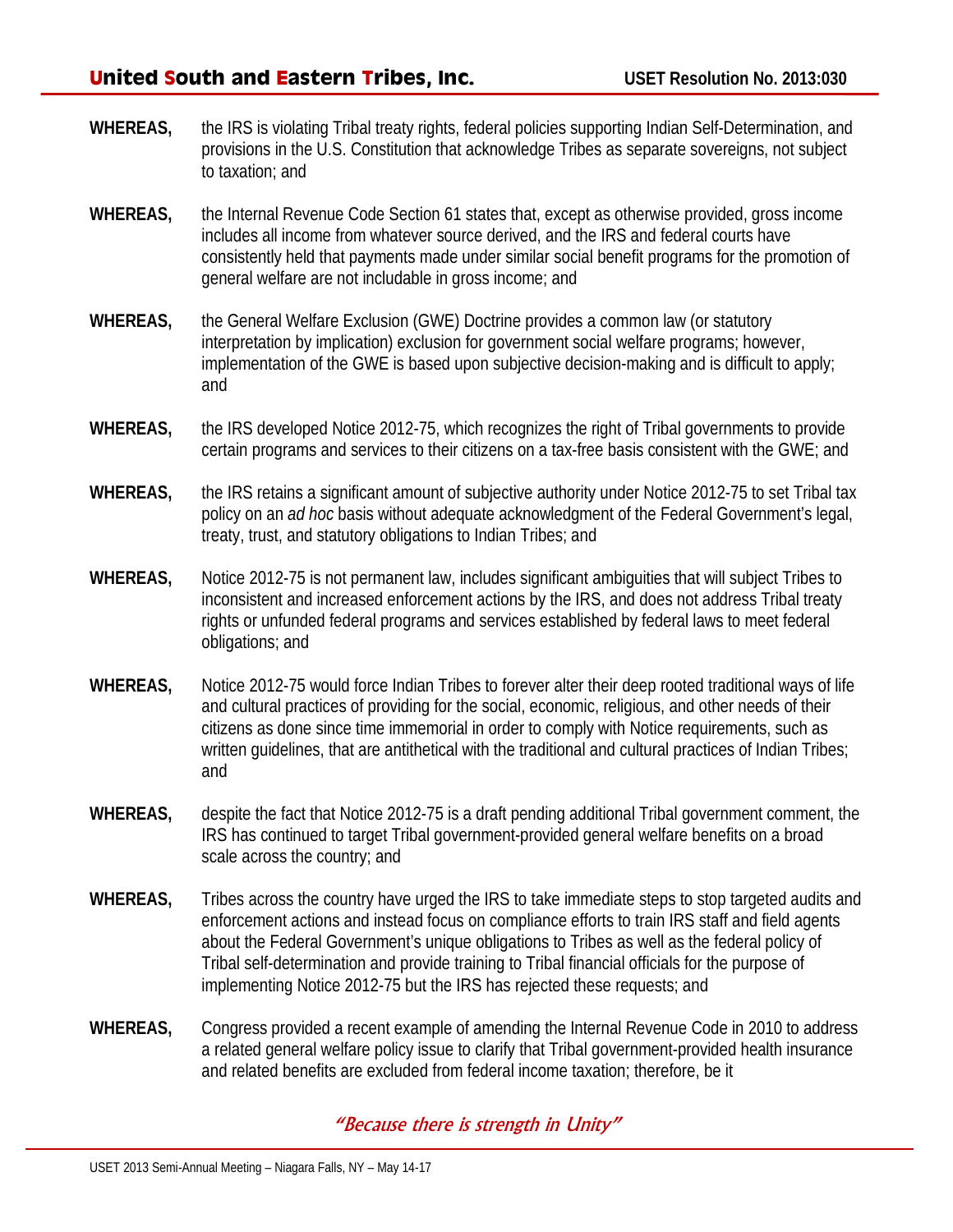- **WHEREAS,** the IRS is violating Tribal treaty rights, federal policies supporting Indian Self-Determination, and provisions in the U.S. Constitution that acknowledge Tribes as separate sovereigns, not subject to taxation; and
- **WHEREAS,** the Internal Revenue Code Section 61 states that, except as otherwise provided, gross income includes all income from whatever source derived, and the IRS and federal courts have consistently held that payments made under similar social benefit programs for the promotion of general welfare are not includable in gross income; and
- **WHEREAS,** the General Welfare Exclusion (GWE) Doctrine provides a common law (or statutory interpretation by implication) exclusion for government social welfare programs; however, implementation of the GWE is based upon subjective decision-making and is difficult to apply; and
- **WHEREAS,** the IRS developed Notice 2012-75, which recognizes the right of Tribal governments to provide certain programs and services to their citizens on a tax-free basis consistent with the GWE; and
- **WHEREAS,** the IRS retains a significant amount of subjective authority under Notice 2012-75 to set Tribal tax policy on an *ad hoc* basis without adequate acknowledgment of the Federal Government's legal, treaty, trust, and statutory obligations to Indian Tribes; and
- **WHEREAS,** Notice 2012-75 is not permanent law, includes significant ambiguities that will subject Tribes to inconsistent and increased enforcement actions by the IRS, and does not address Tribal treaty rights or unfunded federal programs and services established by federal laws to meet federal obligations; and
- **WHEREAS,** Notice 2012-75 would force Indian Tribes to forever alter their deep rooted traditional ways of life and cultural practices of providing for the social, economic, religious, and other needs of their citizens as done since time immemorial in order to comply with Notice requirements, such as written guidelines, that are antithetical with the traditional and cultural practices of Indian Tribes; and
- **WHEREAS,** despite the fact that Notice 2012-75 is a draft pending additional Tribal government comment, the IRS has continued to target Tribal government-provided general welfare benefits on a broad scale across the country; and
- **WHEREAS,** Tribes across the country have urged the IRS to take immediate steps to stop targeted audits and enforcement actions and instead focus on compliance efforts to train IRS staff and field agents about the Federal Government's unique obligations to Tribes as well as the federal policy of Tribal self-determination and provide training to Tribal financial officials for the purpose of implementing Notice 2012-75 but the IRS has rejected these requests; and
- **WHEREAS,** Congress provided a recent example of amending the Internal Revenue Code in 2010 to address a related general welfare policy issue to clarify that Tribal government-provided health insurance and related benefits are excluded from federal income taxation; therefore, be it

# "Because there is strength in Unity"